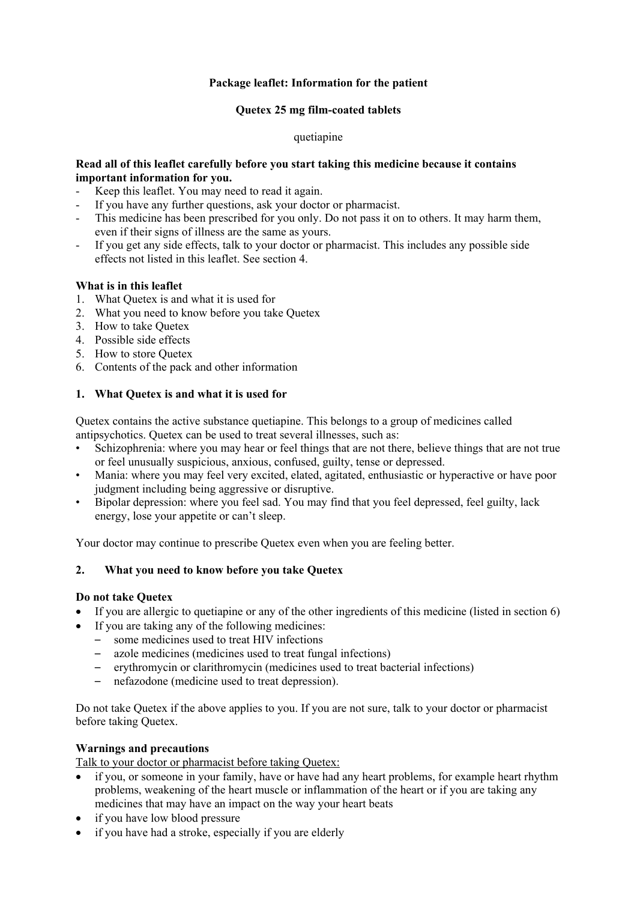# **Package leaflet: Information for the patient**

## **Quetex 25 mg film-coated tablets**

## quetiapine

## **Read all of this leaflet carefully before you start taking this medicine because it contains important information for you.**

- Keep this leaflet. You may need to read it again.
- If you have any further questions, ask your doctor or pharmacist.
- This medicine has been prescribed for you only. Do not pass it on to others. It may harm them, even if their signs of illness are the same as yours.
- If you get any side effects, talk to your doctor or pharmacist. This includes any possible side effects not listed in this leaflet. See section 4.

# **What is in this leaflet**

- 1. What Quetex is and what it is used for
- 2. What you need to know before you take Quetex
- 3. How to take Quetex
- 4. Possible side effects
- 5. How to store Quetex
- 6. Contents of the pack and other information

# **1. What Quetex is and what it is used for**

Quetex contains the active substance quetiapine. This belongs to a group of medicines called antipsychotics. Quetex can be used to treat several illnesses, such as:

- Schizophrenia: where you may hear or feel things that are not there, believe things that are not true or feel unusually suspicious, anxious, confused, guilty, tense or depressed.
- Mania: where you may feel very excited, elated, agitated, enthusiastic or hyperactive or have poor judgment including being aggressive or disruptive.
- Bipolar depression: where you feel sad. You may find that you feel depressed, feel guilty, lack energy, lose your appetite or can't sleep.

Your doctor may continue to prescribe Quetex even when you are feeling better.

# **2. What you need to know before you take Quetex**

#### **Do not take Quetex**

- If you are allergic to quetiapine or any of the other ingredients of this medicine (listed in section 6)
- If you are taking any of the following medicines:
	- some medicines used to treat HIV infections
	- azole medicines (medicines used to treat fungal infections)
	- erythromycin or clarithromycin (medicines used to treat bacterial infections)
	- nefazodone (medicine used to treat depression).

Do not take Quetex if the above applies to you. If you are not sure, talk to your doctor or pharmacist before taking Quetex.

### **Warnings and precautions**

Talk to your doctor or pharmacist before taking Quetex:

- if you, or someone in your family, have or have had any heart problems, for example heart rhythm problems, weakening of the heart muscle or inflammation of the heart or if you are taking any medicines that may have an impact on the way your heart beats
- if you have low blood pressure
- if you have had a stroke, especially if you are elderly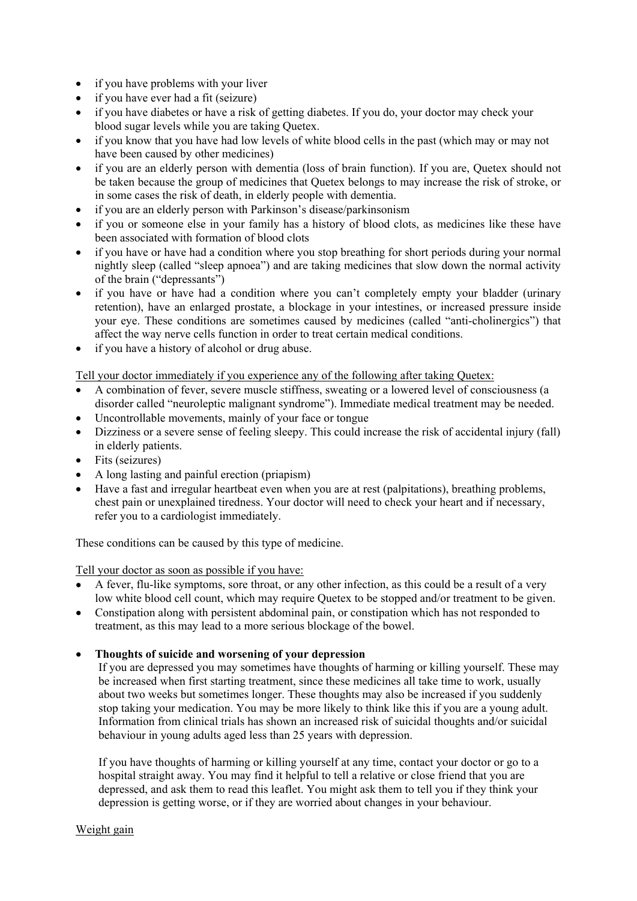- if you have problems with your liver
- if you have ever had a fit (seizure)
- if you have diabetes or have a risk of getting diabetes. If you do, your doctor may check your blood sugar levels while you are taking Quetex.
- if you know that you have had low levels of white blood cells in the past (which may or may not have been caused by other medicines)
- if you are an elderly person with dementia (loss of brain function). If you are, Quetex should not be taken because the group of medicines that Quetex belongs to may increase the risk of stroke, or in some cases the risk of death, in elderly people with dementia.
- if you are an elderly person with Parkinson's disease/parkinsonism
- if you or someone else in your family has a history of blood clots, as medicines like these have been associated with formation of blood clots
- if you have or have had a condition where you stop breathing for short periods during your normal nightly sleep (called "sleep apnoea") and are taking medicines that slow down the normal activity of the brain ("depressants")
- if you have or have had a condition where you can't completely empty your bladder (urinary retention), have an enlarged prostate, a blockage in your intestines, or increased pressure inside your eye. These conditions are sometimes caused by medicines (called "anti-cholinergics") that affect the way nerve cells function in order to treat certain medical conditions.
- if you have a history of alcohol or drug abuse.

Tell your doctor immediately if you experience any of the following after taking Quetex:

- A combination of fever, severe muscle stiffness, sweating or a lowered level of consciousness (a disorder called "neuroleptic malignant syndrome"). Immediate medical treatment may be needed.
- Uncontrollable movements, mainly of your face or tongue
- Dizziness or a severe sense of feeling sleepy. This could increase the risk of accidental injury (fall) in elderly patients.
- Fits (seizures)
- A long lasting and painful erection (priapism)
- Have a fast and irregular heartbeat even when you are at rest (palpitations), breathing problems, chest pain or unexplained tiredness. Your doctor will need to check your heart and if necessary, refer you to a cardiologist immediately.

These conditions can be caused by this type of medicine.

Tell your doctor as soon as possible if you have:

- A fever, flu-like symptoms, sore throat, or any other infection, as this could be a result of a very low white blood cell count, which may require Quetex to be stopped and/or treatment to be given.
- Constipation along with persistent abdominal pain, or constipation which has not responded to treatment, as this may lead to a more serious blockage of the bowel.
- **Thoughts of suicide and worsening of your depression**

If you are depressed you may sometimes have thoughts of harming or killing yourself. These may be increased when first starting treatment, since these medicines all take time to work, usually about two weeks but sometimes longer. These thoughts may also be increased if you suddenly stop taking your medication. You may be more likely to think like this if you are a young adult. Information from clinical trials has shown an increased risk of suicidal thoughts and/or suicidal behaviour in young adults aged less than 25 years with depression.

If you have thoughts of harming or killing yourself at any time, contact your doctor or go to a hospital straight away. You may find it helpful to tell a relative or close friend that you are depressed, and ask them to read this leaflet. You might ask them to tell you if they think your depression is getting worse, or if they are worried about changes in your behaviour.

#### Weight gain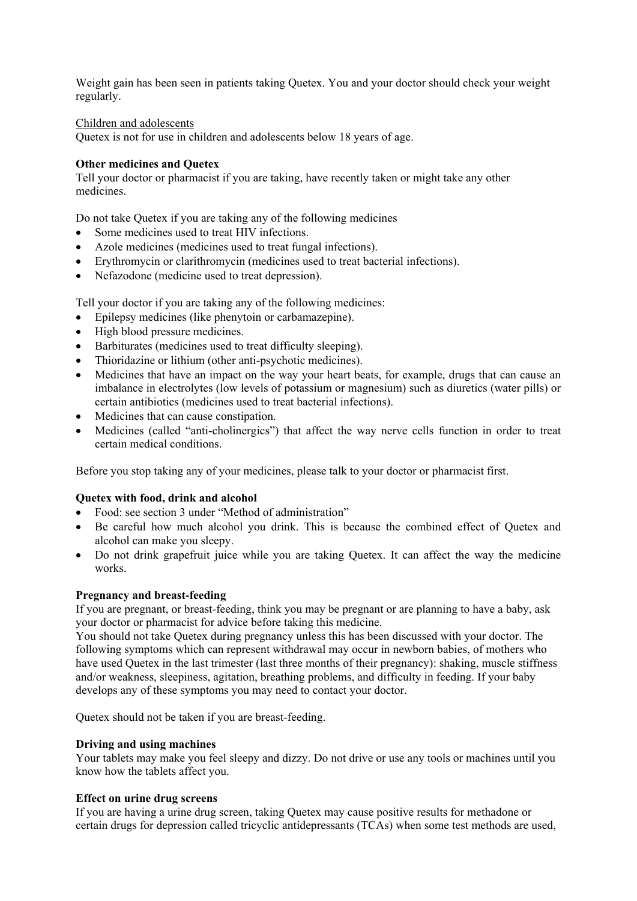Weight gain has been seen in patients taking Quetex. You and your doctor should check your weight regularly.

#### Children and adolescents

Quetex is not for use in children and adolescents below 18 years of age.

#### **Other medicines and Quetex**

Tell your doctor or pharmacist if you are taking, have recently taken or might take any other medicines.

Do not take Quetex if you are taking any of the following medicines

- Some medicines used to treat HIV infections.
- Azole medicines (medicines used to treat fungal infections).
- Erythromycin or clarithromycin (medicines used to treat bacterial infections).
- Nefazodone (medicine used to treat depression).

Tell your doctor if you are taking any of the following medicines:

- Epilepsy medicines (like phenytoin or carbamazepine).
- High blood pressure medicines.
- Barbiturates (medicines used to treat difficulty sleeping).
- Thioridazine or lithium (other anti-psychotic medicines).
- Medicines that have an impact on the way your heart beats, for example, drugs that can cause an imbalance in electrolytes (low levels of potassium or magnesium) such as diuretics (water pills) or certain antibiotics (medicines used to treat bacterial infections).
- Medicines that can cause constipation.
- Medicines (called "anti-cholinergics") that affect the way nerve cells function in order to treat certain medical conditions.

Before you stop taking any of your medicines, please talk to your doctor or pharmacist first.

#### **Quetex with food, drink and alcohol**

- Food: see section 3 under "Method of administration"
- Be careful how much alcohol you drink. This is because the combined effect of Quetex and alcohol can make you sleepy.
- Do not drink grapefruit juice while you are taking Quetex. It can affect the way the medicine works.

#### **Pregnancy and breast-feeding**

If you are pregnant, or breast-feeding, think you may be pregnant or are planning to have a baby, ask your doctor or pharmacist for advice before taking this medicine.

You should not take Quetex during pregnancy unless this has been discussed with your doctor. The following symptoms which can represent withdrawal may occur in newborn babies, of mothers who have used Quetex in the last trimester (last three months of their pregnancy): shaking, muscle stiffness and/or weakness, sleepiness, agitation, breathing problems, and difficulty in feeding. If your baby develops any of these symptoms you may need to contact your doctor.

Quetex should not be taken if you are breast-feeding.

#### **Driving and using machines**

Your tablets may make you feel sleepy and dizzy. Do not drive or use any tools or machines until you know how the tablets affect you.

#### **Effect on urine drug screens**

If you are having a urine drug screen, taking Quetex may cause positive results for methadone or certain drugs for depression called tricyclic antidepressants (TCAs) when some test methods are used,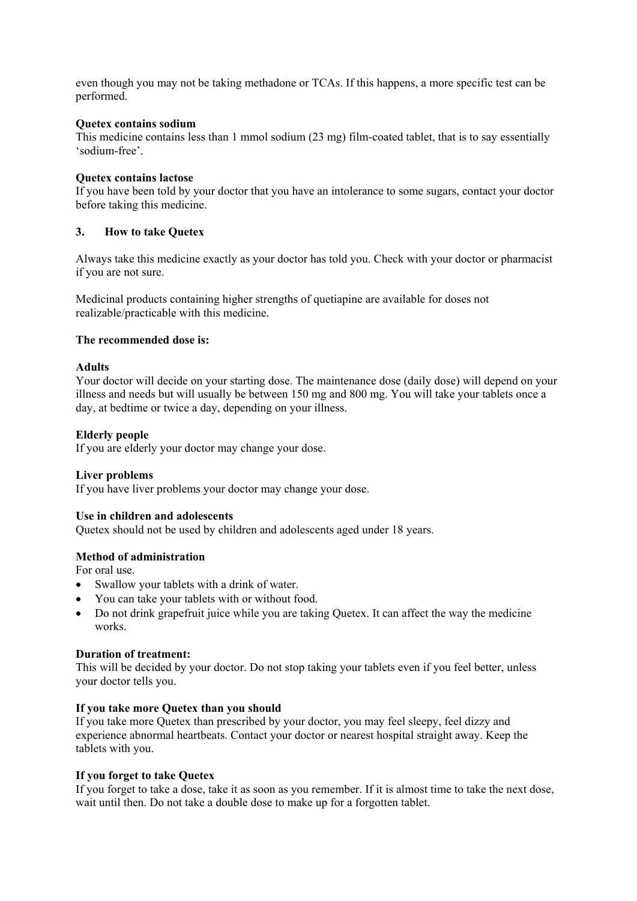even though you may not be taking methadone or TCAs. If this happens, a more specific test can be performed.

## **Quetex contains sodium**

This medicine contains less than 1 mmol sodium (23 mg) film-coated tablet, that is to say essentially 'sodium-free'.

## **Quetex contains lactose**

If you have been told by your doctor that you have an intolerance to some sugars, contact your doctor before taking this medicine.

# **3. How to take Quetex**

Always take this medicine exactly as your doctor has told you. Check with your doctor or pharmacist if you are not sure.

Medicinal products containing higher strengths of quetiapine are available for doses not realizable/practicable with this medicine.

#### **The recommended dose is:**

# **Adults**

Your doctor will decide on your starting dose. The maintenance dose (daily dose) will depend on your illness and needs but will usually be between 150 mg and 800 mg. You will take your tablets once a day, at bedtime or twice a day, depending on your illness.

# **Elderly people**

If you are elderly your doctor may change your dose.

#### **Liver problems**

If you have liver problems your doctor may change your dose.

#### **Use in children and adolescents**

Quetex should not be used by children and adolescents aged under 18 years.

# **Method of administration**

For oral use.

- Swallow your tablets with a drink of water.
- You can take your tablets with or without food.
- Do not drink grapefruit juice while you are taking Quetex. It can affect the way the medicine works.

#### **Duration of treatment:**

This will be decided by your doctor. Do not stop taking your tablets even if you feel better, unless your doctor tells you.

### **If you take more Quetex than you should**

If you take more Quetex than prescribed by your doctor, you may feel sleepy, feel dizzy and experience abnormal heartbeats. Contact your doctor or nearest hospital straight away. Keep the tablets with you.

#### **If you forget to take Quetex**

If you forget to take a dose, take it as soon as you remember. If it is almost time to take the next dose, wait until then. Do not take a double dose to make up for a forgotten tablet.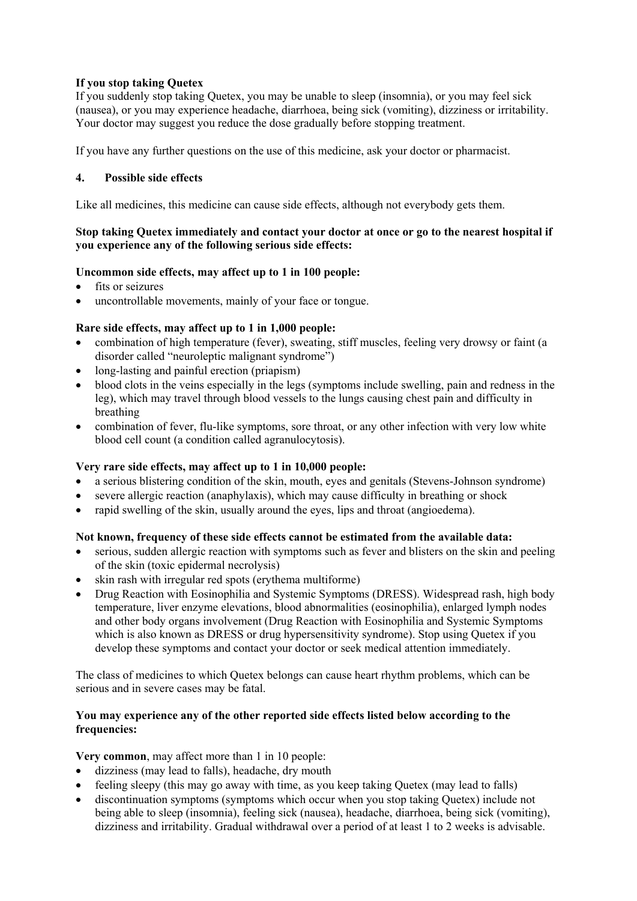# **If you stop taking Quetex**

If you suddenly stop taking Quetex, you may be unable to sleep (insomnia), or you may feel sick (nausea), or you may experience headache, diarrhoea, being sick (vomiting), dizziness or irritability. Your doctor may suggest you reduce the dose gradually before stopping treatment.

If you have any further questions on the use of this medicine, ask your doctor or pharmacist.

# **4. Possible side effects**

Like all medicines, this medicine can cause side effects, although not everybody gets them.

# **Stop taking Quetex immediately and contact your doctor at once or go to the nearest hospital if you experience any of the following serious side effects:**

# **Uncommon side effects, may affect up to 1 in 100 people:**

- fits or seizures
- uncontrollable movements, mainly of your face or tongue.

# **Rare side effects, may affect up to 1 in 1,000 people:**

- combination of high temperature (fever), sweating, stiff muscles, feeling very drowsy or faint (a disorder called "neuroleptic malignant syndrome")
- long-lasting and painful erection (priapism)
- blood clots in the veins especially in the legs (symptoms include swelling, pain and redness in the leg), which may travel through blood vessels to the lungs causing chest pain and difficulty in breathing
- combination of fever, flu-like symptoms, sore throat, or any other infection with very low white blood cell count (a condition called agranulocytosis).

#### **Very rare side effects, may affect up to 1 in 10,000 people:**

- a serious blistering condition of the skin, mouth, eyes and genitals (Stevens-Johnson syndrome)
- severe allergic reaction (anaphylaxis), which may cause difficulty in breathing or shock
- rapid swelling of the skin, usually around the eyes, lips and throat (angioedema).

#### **Not known, frequency of these side effects cannot be estimated from the available data:**

- serious, sudden allergic reaction with symptoms such as fever and blisters on the skin and peeling of the skin (toxic epidermal necrolysis)
- skin rash with irregular red spots (erythema multiforme)
- Drug Reaction with Eosinophilia and Systemic Symptoms (DRESS). Widespread rash, high body temperature, liver enzyme elevations, blood abnormalities (eosinophilia), enlarged lymph nodes and other body organs involvement (Drug Reaction with Eosinophilia and Systemic Symptoms which is also known as DRESS or drug hypersensitivity syndrome). Stop using Quetex if you develop these symptoms and contact your doctor or seek medical attention immediately.

The class of medicines to which Quetex belongs can cause heart rhythm problems, which can be serious and in severe cases may be fatal.

# **You may experience any of the other reported side effects listed below according to the frequencies:**

**Very common**, may affect more than 1 in 10 people:

- dizziness (may lead to falls), headache, dry mouth
- feeling sleepy (this may go away with time, as you keep taking Quetex (may lead to falls)
- discontinuation symptoms (symptoms which occur when you stop taking Quetex) include not being able to sleep (insomnia), feeling sick (nausea), headache, diarrhoea, being sick (vomiting), dizziness and irritability. Gradual withdrawal over a period of at least 1 to 2 weeks is advisable.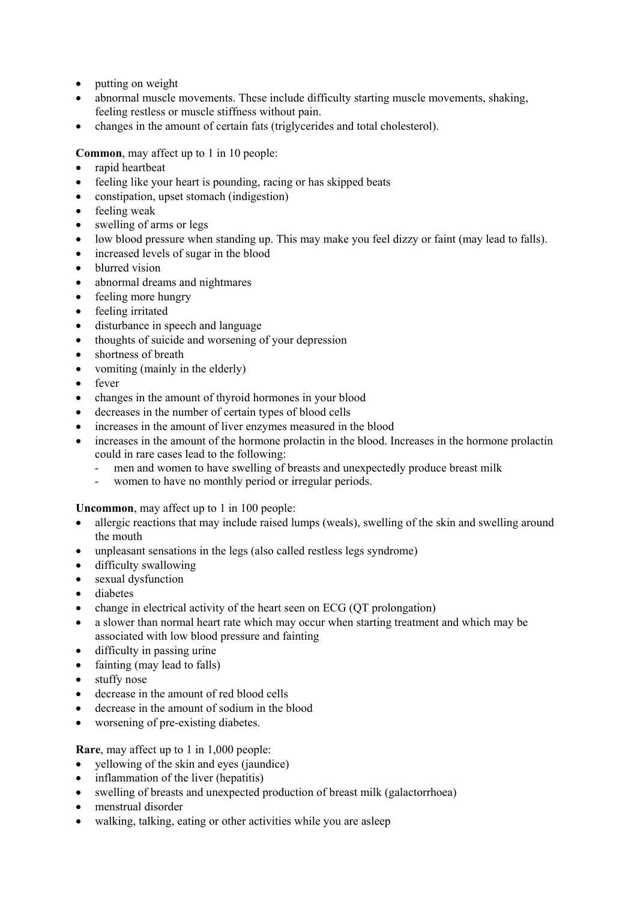- putting on weight
- abnormal muscle movements. These include difficulty starting muscle movements, shaking, feeling restless or muscle stiffness without pain.
- changes in the amount of certain fats (triglycerides and total cholesterol).

# **Common**, may affect up to 1 in 10 people:

- rapid heartbeat
- feeling like your heart is pounding, racing or has skipped beats
- constipation, upset stomach (indigestion)
- feeling weak
- swelling of arms or legs
- low blood pressure when standing up. This may make you feel dizzy or faint (may lead to falls).
- increased levels of sugar in the blood
- blurred vision
- abnormal dreams and nightmares
- feeling more hungry
- feeling irritated
- disturbance in speech and language
- thoughts of suicide and worsening of your depression
- shortness of breath
- vomiting (mainly in the elderly)
- fever
- changes in the amount of thyroid hormones in your blood
- decreases in the number of certain types of blood cells
- increases in the amount of liver enzymes measured in the blood
- increases in the amount of the hormone prolactin in the blood. Increases in the hormone prolactin could in rare cases lead to the following:
	- men and women to have swelling of breasts and unexpectedly produce breast milk
	- women to have no monthly period or irregular periods.

**Uncommon**, may affect up to 1 in 100 people:

- allergic reactions that may include raised lumps (weals), swelling of the skin and swelling around the mouth
- unpleasant sensations in the legs (also called restless legs syndrome)
- difficulty swallowing
- sexual dysfunction
- diabetes
- change in electrical activity of the heart seen on ECG (QT prolongation)
- a slower than normal heart rate which may occur when starting treatment and which may be associated with low blood pressure and fainting
- difficulty in passing urine
- fainting (may lead to falls)
- stuffy nose
- decrease in the amount of red blood cells
- decrease in the amount of sodium in the blood
- worsening of pre-existing diabetes.

**Rare**, may affect up to 1 in 1,000 people:

- yellowing of the skin and eyes (jaundice)
- inflammation of the liver (hepatitis)
- swelling of breasts and unexpected production of breast milk (galactorrhoea)
- menstrual disorder
- walking, talking, eating or other activities while you are asleep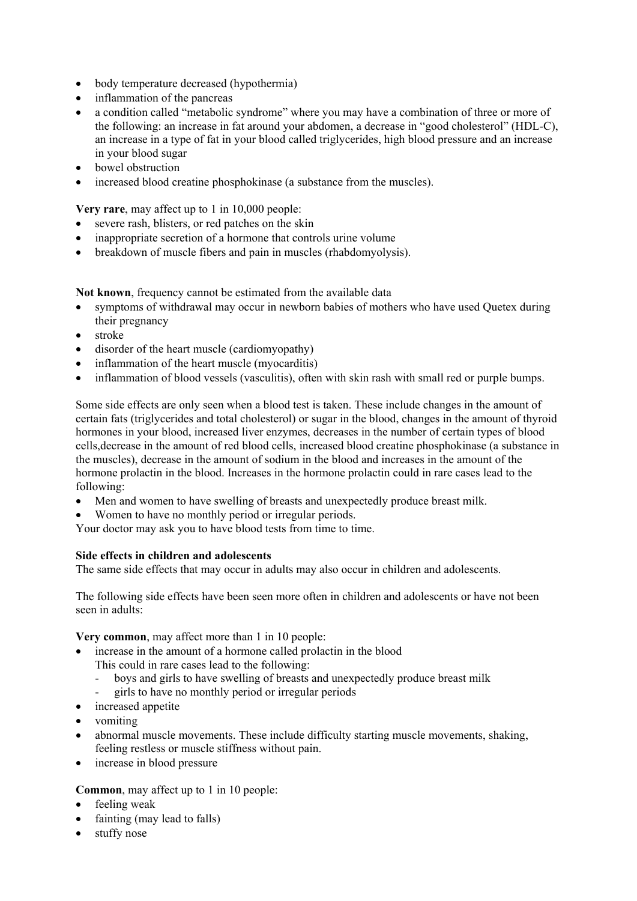- body temperature decreased (hypothermia)
- inflammation of the pancreas
- a condition called "metabolic syndrome" where you may have a combination of three or more of the following: an increase in fat around your abdomen, a decrease in "good cholesterol" (HDL-C), an increase in a type of fat in your blood called triglycerides, high blood pressure and an increase in your blood sugar
- bowel obstruction
- increased blood creatine phosphokinase (a substance from the muscles).

**Very rare**, may affect up to 1 in 10,000 people:

- severe rash, blisters, or red patches on the skin
- inappropriate secretion of a hormone that controls urine volume
- breakdown of muscle fibers and pain in muscles (rhabdomyolysis).

**Not known**, frequency cannot be estimated from the available data

- symptoms of withdrawal may occur in newborn babies of mothers who have used Quetex during their pregnancy
- stroke
- disorder of the heart muscle (cardiomyopathy)
- inflammation of the heart muscle (myocarditis)
- inflammation of blood vessels (vasculitis), often with skin rash with small red or purple bumps.

Some side effects are only seen when a blood test is taken. These include changes in the amount of certain fats (triglycerides and total cholesterol) or sugar in the blood, changes in the amount of thyroid hormones in your blood, increased liver enzymes, decreases in the number of certain types of blood cells,decrease in the amount of red blood cells, increased blood creatine phosphokinase (a substance in the muscles), decrease in the amount of sodium in the blood and increases in the amount of the hormone prolactin in the blood. Increases in the hormone prolactin could in rare cases lead to the following:

- Men and women to have swelling of breasts and unexpectedly produce breast milk.
- Women to have no monthly period or irregular periods.

Your doctor may ask you to have blood tests from time to time.

#### **Side effects in children and adolescents**

The same side effects that may occur in adults may also occur in children and adolescents.

The following side effects have been seen more often in children and adolescents or have not been seen in adults:

**Very common**, may affect more than 1 in 10 people:

- increase in the amount of a hormone called prolactin in the blood This could in rare cases lead to the following:
	- boys and girls to have swelling of breasts and unexpectedly produce breast milk
	- girls to have no monthly period or irregular periods
- increased appetite
- vomiting
- abnormal muscle movements. These include difficulty starting muscle movements, shaking, feeling restless or muscle stiffness without pain.
- increase in blood pressure

#### **Common**, may affect up to 1 in 10 people:

- feeling weak
- fainting (may lead to falls)
- stuffy nose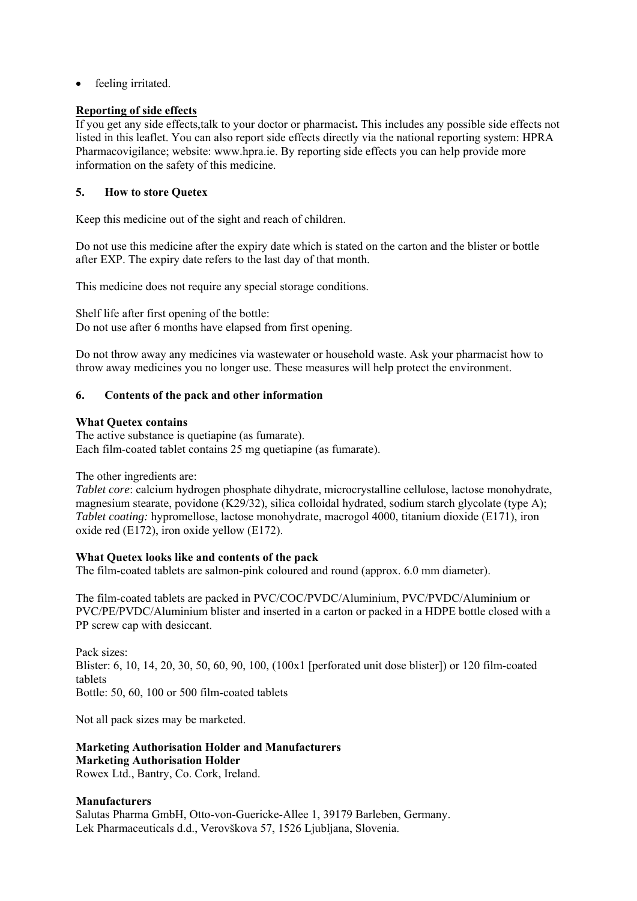feeling irritated.

## **Reporting of side effects**

If you get any side effects,talk to your doctor or pharmacist**.** This includes any possible side effects not listed in this leaflet. You can also report side effects directly via the national reporting system: HPRA Pharmacovigilance; website: www.hpra.ie. By reporting side effects you can help provide more information on the safety of this medicine.

# **5. How to store Quetex**

Keep this medicine out of the sight and reach of children.

Do not use this medicine after the expiry date which is stated on the carton and the blister or bottle after EXP. The expiry date refers to the last day of that month.

This medicine does not require any special storage conditions.

Shelf life after first opening of the bottle: Do not use after 6 months have elapsed from first opening.

Do not throw away any medicines via wastewater or household waste. Ask your pharmacist how to throw away medicines you no longer use. These measures will help protect the environment.

# **6. Contents of the pack and other information**

#### **What Quetex contains**

The active substance is quetiapine (as fumarate). Each film-coated tablet contains 25 mg quetiapine (as fumarate).

The other ingredients are:

*Tablet core*: calcium hydrogen phosphate dihydrate, microcrystalline cellulose, lactose monohydrate, magnesium stearate, povidone (K29/32), silica colloidal hydrated, sodium starch glycolate (type A); *Tablet coating:* hypromellose, lactose monohydrate, macrogol 4000, titanium dioxide (E171), iron oxide red (E172), iron oxide yellow (E172).

# **What Quetex looks like and contents of the pack**

The film-coated tablets are salmon-pink coloured and round (approx. 6.0 mm diameter).

The film-coated tablets are packed in PVC/COC/PVDC/Aluminium, PVC/PVDC/Aluminium or PVC/PE/PVDC/Aluminium blister and inserted in a carton or packed in a HDPE bottle closed with a PP screw cap with desiccant.

Pack sizes: Blister: 6, 10, 14, 20, 30, 50, 60, 90, 100, (100x1 [perforated unit dose blister]) or 120 film-coated tablets Bottle: 50, 60, 100 or 500 film-coated tablets

Not all pack sizes may be marketed.

# **Marketing Authorisation Holder and Manufacturers Marketing Authorisation Holder**

Rowex Ltd., Bantry, Co. Cork, Ireland.

#### **Manufacturers**

Salutas Pharma GmbH, Otto-von-Guericke-Allee 1, 39179 Barleben, Germany. Lek Pharmaceuticals d.d., Verovškova 57, 1526 Ljubljana, Slovenia.